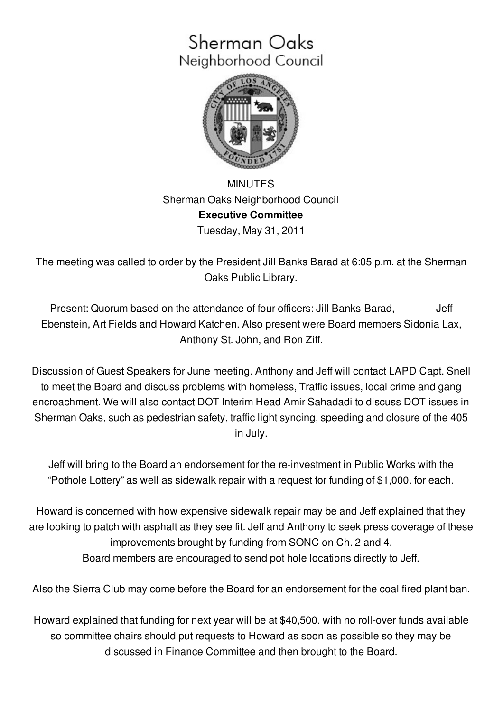## Sherman Oaks Neighborhood Council



MINUTES Sherman Oaks Neighborhood Council **Executive Committee** Tuesday, May 31, 2011

The meeting was called to order by the President Jill Banks Barad at 6:05 p.m. at the Sherman Oaks Public Library.

Present: Quorum based on the attendance of four officers: Jill Banks-Barad, Jeff Ebenstein, Art Fields and Howard Katchen. Also present were Board members Sidonia Lax, Anthony St. John, and Ron Ziff.

Discussion of Guest Speakers for June meeting. Anthony and Jeff will contact LAPD Capt. Snell to meet the Board and discuss problems with homeless, Traffic issues, local crime and gang encroachment. We will also contact DOT Interim Head Amir Sahadadi to discuss DOT issues in Sherman Oaks, such as pedestrian safety, traffic light syncing, speeding and closure of the 405 in July.

Jeff will bring to the Board an endorsement for the re-investment in Public Works with the "Pothole Lottery" as well as sidewalk repair with a request for funding of \$1,000. for each.

Howard is concerned with how expensive sidewalk repair may be and Jeff explained that they are looking to patch with asphalt as they see fit. Jeff and Anthony to seek press coverage of these improvements brought by funding from SONC on Ch. 2 and 4. Board members are encouraged to send pot hole locations directly to Jeff.

Also the Sierra Club may come before the Board for an endorsement for the coal fired plant ban.

Howard explained that funding for next year will be at \$40,500. with no roll-over funds available so committee chairs should put requests to Howard as soon as possible so they may be discussed in Finance Committee and then brought to the Board.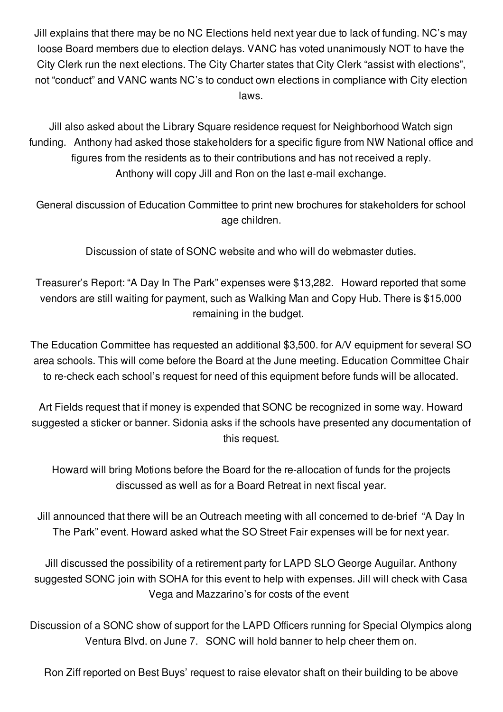Jill explains that there may be no NC Elections held next year due to lack of funding. NC's may loose Board members due to election delays. VANC has voted unanimously NOT to have the City Clerk run the next elections. The City Charter states that City Clerk "assist with elections", not "conduct" and VANC wants NC's to conduct own elections in compliance with City election laws.

Jill also asked about the Library Square residence request for Neighborhood Watch sign funding. Anthony had asked those stakeholders for a specific figure from NW National office and figures from the residents as to their contributions and has not received a reply. Anthony will copy Jill and Ron on the last e-mail exchange.

General discussion of Education Committee to print new brochures for stakeholders for school age children.

Discussion of state of SONC website and who will do webmaster duties.

Treasurer's Report: "A Day In The Park" expenses were \$13,282. Howard reported that some vendors are still waiting for payment, such as Walking Man and Copy Hub. There is \$15,000 remaining in the budget.

The Education Committee has requested an additional \$3,500. for A/V equipment for several SO area schools. This will come before the Board at the June meeting. Education Committee Chair to re-check each school's request for need of this equipment before funds will be allocated.

Art Fields request that if money is expended that SONC be recognized in some way. Howard suggested a sticker or banner. Sidonia asks if the schools have presented any documentation of this request.

Howard will bring Motions before the Board for the re-allocation of funds for the projects discussed as well as for a Board Retreat in next fiscal year.

Jill announced that there will be an Outreach meeting with all concerned to de-brief "A Day In The Park" event. Howard asked what the SO Street Fair expenses will be for next year.

Jill discussed the possibility of a retirement party for LAPD SLO George Auguilar. Anthony suggested SONC join with SOHA for this event to help with expenses. Jill will check with Casa Vega and Mazzarino's for costs of the event

Discussion of a SONC show of support for the LAPD Officers running for Special Olympics along Ventura Blvd. on June 7. SONC will hold banner to help cheer them on.

Ron Ziff reported on Best Buys' request to raise elevator shaft on their building to be above